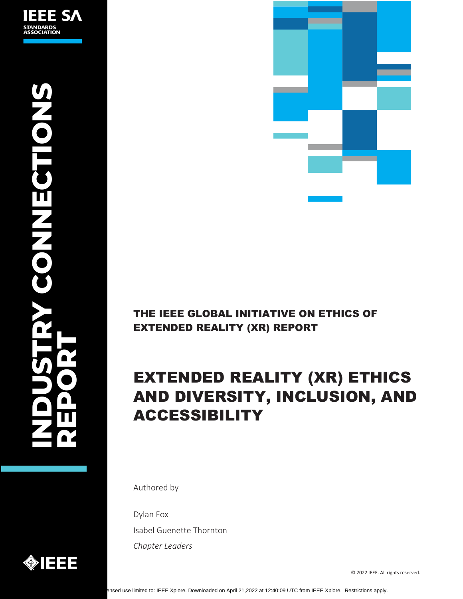



# THE IEEE GLOBAL INITIATIVE ON ETHICS OF EXTENDED REALITY (XR) REPORT

# EXTENDED REALITY (XR) ETHICS AND DIVERSITY, INCLUSION, AND ACCESSIBILITY

Authored by

Dylan Fox Isabel Guenette Thornton *Chapter Leaders*

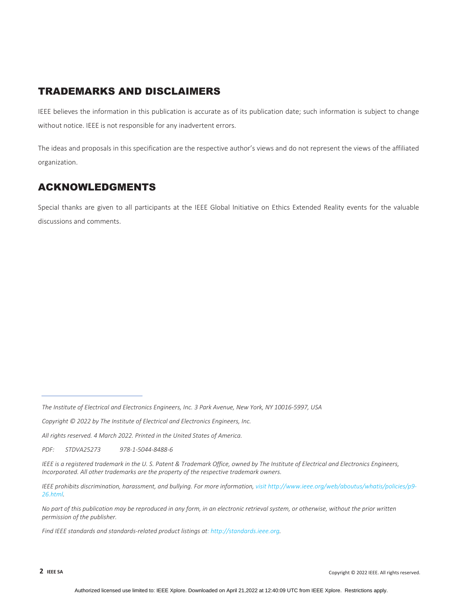### TRADEMARKS AND DISCLAIMERS

IEEE believes the information in this publication is accurate as of its publication date; such information is subject to change without notice. IEEE is not responsible for any inadvertent errors.

The ideas and proposals in this specification are the respective author's views and do not represent the views of the affiliated organization.

## ACKNOWLEDGMENTS

Special thanks are given to all participants at the IEEE Global Initiative on Ethics Extended Reality events for the valuable discussions and comments.

*All rights reserved. 4 March 2022. Printed in the United States of America.*

*PDF: STDVA25273 978‐1‐5044‐8488‐6*

*Find IEEE standards and standards‐related product listings at: [http://standards.ieee.org.](http://standards.ieee.org/)*

The Institute of Electrical and Electronics Engineers, Inc. 3 Park Avenue, New York, NY 10016-5997, USA

*Copyright © 2022 by The Institute of Electrical and Electronics Engineers, Inc.* 

IEEE is a registered trademark in the U.S. Patent & Trademark Office, owned by The Institute of Electrical and Electronics Engineers, *Incorporated. All other trademarks are the property of the respective trademark owners.*

*IEEE prohibits discrimination, harassment, and bullying. For more information, visit [http://www.ieee.org/web/aboutus/whatis/policies/p9](http://www.ieee.org/web/aboutus/whatis/policies/p9-26.html)‐ [26.html.](http://www.ieee.org/web/aboutus/whatis/policies/p9-26.html)*

No part of this publication may be reproduced in any form, in an electronic retrieval system, or otherwise, without the prior written *permission of the publisher.*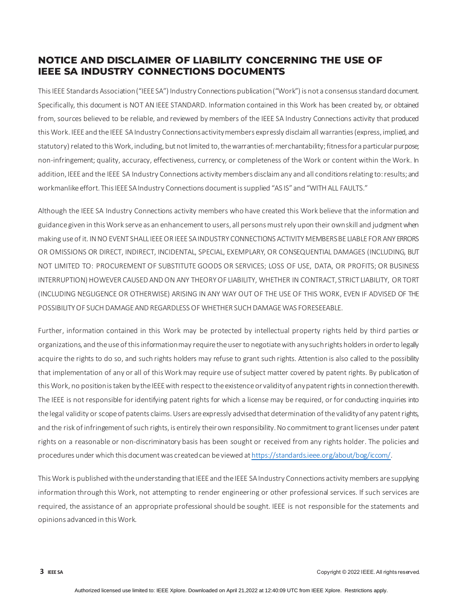### **NOTICE AND DISCLAIMER OF LIABILITY CONCERNING THE USE OF IEEE SA INDUSTRY CONNECTIONS DOCUMENTS**

This IEEE Standards Association ("IEEE SA") Industry Connections publication ("Work") is not a consensus standard document. Specifically, this document is NOT AN IEEE STANDARD. Information contained in this Work has been created by, or obtained from, sources believed to be reliable, and reviewed by members of the IEEE SA Industry Connections activity that produced this Work. IEEE and the IEEE SA Industry Connections activity members expressly disclaim all warranties (express, implied, and statutory) related to this Work, including, but not limited to, the warranties of: merchantability; fitness for a particular purpose; non-infringement; quality, accuracy, effectiveness, currency, or completeness of the Work or content within the Work. In addition, IEEE and the IEEE SA Industry Connections activity members disclaim any and all conditions relating to: results; and workmanlike effort. This IEEE SA Industry Connections document is supplied "AS IS" and "WITH ALL FAULTS."

Although the IEEE SA Industry Connections activity members who have created this Work believe that the information and guidance given in this Work serve as an enhancement to users, all persons must rely upon their own skill and judgment when making use of it. IN NO EVENT SHALL IEEE OR IEEE SA INDUSTRY CONNECTIONS ACTIVITY MEMBERS BE LIABLE FOR ANY ERRORS OR OMISSIONS OR DIRECT, INDIRECT, INCIDENTAL, SPECIAL, EXEMPLARY, OR CONSEQUENTIAL DAMAGES (INCLUDING, BUT NOT LIMITED TO: PROCUREMENT OF SUBSTITUTE GOODS OR SERVICES; LOSS OF USE, DATA, OR PROFITS; OR BUSINESS INTERRUPTION) HOWEVER CAUSED AND ON ANY THEORY OF LIABILITY, WHETHER IN CONTRACT, STRICT LIABILITY, OR TORT (INCLUDING NEGLIGENCE OR OTHERWISE) ARISING IN ANY WAY OUT OF THE USE OF THIS WORK, EVEN IF ADVISED OF THE POSSIBILITY OF SUCH DAMAGE AND REGARDLESS OF WHETHER SUCH DAMAGE WAS FORESEEABLE.

Further, information contained in this Work may be protected by intellectual property rights held by third parties or organizations, and the use of this information may require the user to negotiate with any such rights holders in order to legally acquire the rights to do so, and such rights holders may refuse to grant such rights. Attention is also called to the possibility that implementation of any or all of this Work may require use of subject matter covered by patent rights. By publication of this Work, no position is taken by the IEEE with respect to the existence or validity of any patent rights in connection therewith. The IEEE is not responsible for identifying patent rights for which a license may be required, or for conducting inquiries into the legal validity or scope of patents claims. Users areexpressly advised that determination of the validity of any patent rights, and the risk of infringement of such rights, is entirely their own responsibility. No commitment to grant licenses under patent rights on a reasonable or non-discriminatory basis has been sought or received from any rights holder. The policies and procedures under which this document was created can be viewed a[t https://standards.ieee.org/about/bog/iccom/.](https://standards.ieee.org/about/bog/iccom/)

This Work is published with the understanding that IEEE and the IEEE SA Industry Connections activity members are supplying information through this Work, not attempting to render engineering or other professional services. If such services are required, the assistance of an appropriate professional should be sought. IEEE is not responsible for the statements and opinions advanced in this Work.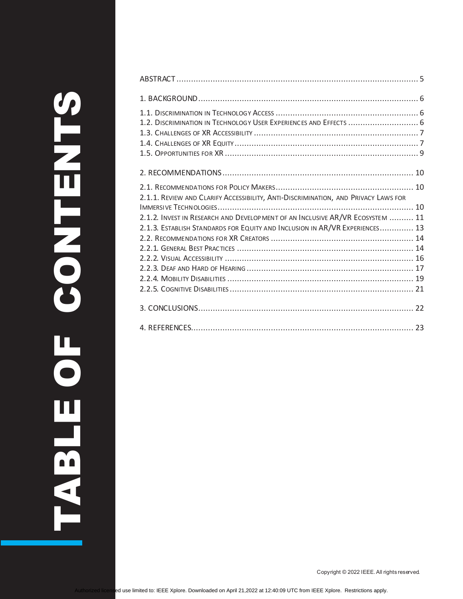| 1.2. DISCRIMINATION IN TECHNOLOGY USER EXPERIENCES AND EFFECTS  6                  |  |
|------------------------------------------------------------------------------------|--|
|                                                                                    |  |
|                                                                                    |  |
|                                                                                    |  |
|                                                                                    |  |
|                                                                                    |  |
|                                                                                    |  |
| 2.1.1. REVIEW AND CLARIFY ACCESSIBILITY, ANTI-DISCRIMINATION, AND PRIVACY LAWS FOR |  |
|                                                                                    |  |
| 2.1.2. INVEST IN RESEARCH AND DEVELOP MENT OF AN INCLUSIVE AR/VR ECOSYSTEM  11     |  |
| 2.1.3. ESTABLISH STANDARDS FOR EQUITY AND INCLUSION IN AR/VR EXPERIENCES 13        |  |
|                                                                                    |  |
|                                                                                    |  |
|                                                                                    |  |
|                                                                                    |  |
|                                                                                    |  |
|                                                                                    |  |
|                                                                                    |  |
|                                                                                    |  |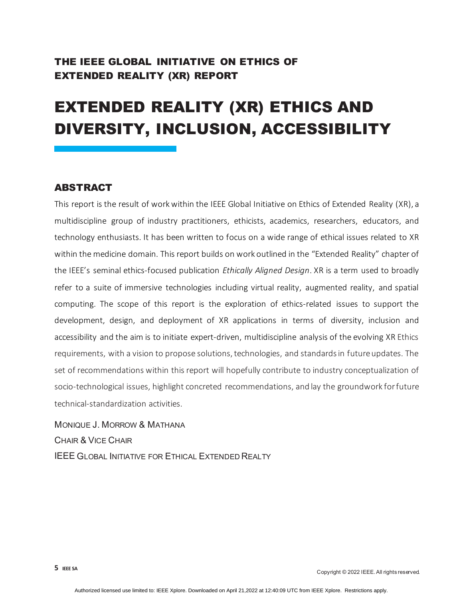## THE IEEE GLOBAL INITIATIVE ON ETHICS OF EXTENDED REALITY (XR) REPORT

# EXTENDED REALITY (XR) ETHICS AND DIVERSITY, INCLUSION, ACCESSIBILITY

#### <span id="page-4-0"></span>ABSTRACT

This report is the result of work within the IEEE Global Initiative on Ethics of Extended Reality (XR), a multidiscipline group of industry practitioners, ethicists, academics, researchers, educators, and technology enthusiasts. It has been written to focus on a wide range of ethical issues related to XR within the medicine domain. This report builds on work outlined in the "Extended Reality" chapter of the IEEE's seminal ethics-focused publication *[Ethically Aligned Design](https://standards.ieee.org/content/dam/ieee-standards/standards/web/documents/other/ead_v2.pdf)*. XR is a term used to broadly refer to a suite of immersive technologies including virtual reality, augmented reality, and spatial computing. The scope of this report is the exploration of ethics-related issues to support the development, design, and deployment of XR applications in terms of diversity, inclusion and accessibility and the aim is to initiate expert-driven, multidiscipline analysis of the evolving XR Ethics requirements, with a vision to propose solutions, technologies, and standards in future updates. The set of recommendations within this report will hopefully contribute to industry conceptualization of socio-technological issues, highlight concreted recommendations, and lay the groundwork for future technical-standardization activities.

MONIQUE J. MORROW & MATHANA CHAIR & VICE CHAIR IEEE GLOBAL INITIATIVE FOR ETHICAL EXTENDED REALTY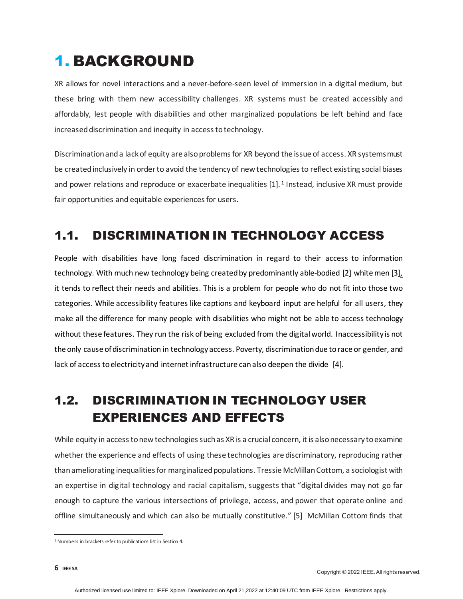# <span id="page-5-0"></span>1. BACKGROUND

XR allows for novel interactions and a never-before-seen level of immersion in a digital medium, but these bring with them new accessibility challenges. XR systems must be created accessibly and affordably, lest people with disabilities and other marginalized populations be left behind and face increased discrimination and inequity in access to technology.

Discrimination and a lack of equity are also problems for XR beyond the issue of access. XR systems must be created inclusively in order to avoid the tendency of new technologies to reflect existing social biases and power relations and reproduce or exacerbate inequalities [\[1\].](#page-22-1)<sup>[1](#page-5-3)</sup> Instead, inclusive XR must provide fair opportunities and equitable experiences for users.

# <span id="page-5-1"></span>1.1. DISCRIMINATION IN TECHNOLOGY ACCESS

People with disabilities have long faced discrimination in regard to their access to information technology. With much new technology being created by predominantly [able-bodied](https://techcrunch.com/2016/11/07/parallel-pr-universe/) [2] [white men](https://spectrum.ieee.org/why-isnt-the-tech-industry-doing-better-on-diversity-its-google-and-facebooks-fault) [3], it tends to reflect their needs and abilities. This is a problem for people who do not fit into those two categories. While accessibility features like captions and keyboard input are helpful for all users, they make all the difference for many people with disabilities who might not be able to access technology without these features. They run the risk of being excluded from the digital world. Inaccessibility is not the only cause of discrimination in technology access. Poverty, discrimination due to race or gender, and lack of access to electricity and internet infrastructure can also deepen the divide [\[4\].](#page-22-2)

# <span id="page-5-2"></span>1.2. DISCRIMINATION IN TECHNOLOGY USER EXPERIENCES AND EFFECTS

While equity in access to new technologies such as XR is a crucial concern, it is also necessary to examine whether the experience and effects of using these technologies are discriminatory, reproducing rather than ameliorating inequalities for marginalized populations. Tressie McMillan Cottom, a sociologist with an expertise in digital technology and racial capitalism, suggests that "digital divides may not go far enough to capture the various intersections of privilege, access, and power that operate online and offline simultaneously and which can also be mutually constitutive." [\[5\]](#page-22-3) McMillan Cottom finds that

<span id="page-5-3"></span><sup>&</sup>lt;sup>1</sup> Numbers in brackets refer to publications list in Sectio[n 4.](#page-22-0)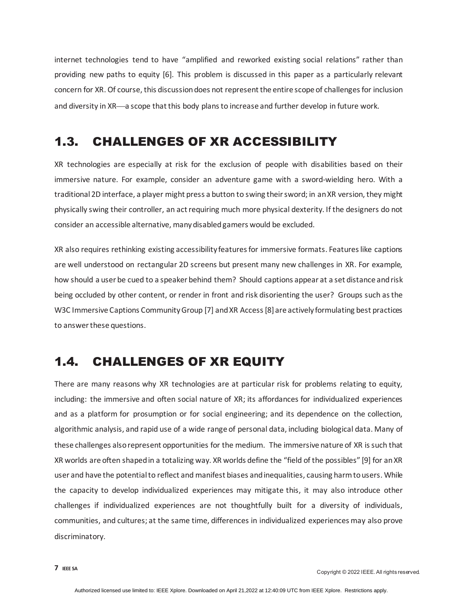internet technologies tend to have "amplified and reworked existing social relations" rather than providing new paths to equity [\[6\].](#page-22-4) This problem is discussed in this paper as a particularly relevant concern for XR. Of course, this discussion does not represent the entire scope of challenges for inclusion and diversity in XR—a scope that this body plans to increase and further develop in future work.

# <span id="page-6-0"></span>1.3. CHALLENGES OF XR ACCESSIBILITY

XR technologies are especially at risk for the exclusion of people with disabilities based on their immersive nature. For example, consider an adventure game with a sword-wielding hero. With a traditional 2D interface, a player might press a button to swing their sword; in an XR version, they might physically swing their controller, an act requiring much more physical dexterity. If the designers do not consider an accessible alternative, many disabled gamers would be excluded.

XR also requires rethinking existing accessibility features for immersive formats. Features like captions are well understood on rectangular 2D screens but present many new challenges in XR. For example, how should a user be cued to a speaker behind them? Should captions appear at a set distance and risk being occluded by other content, or render in front and risk disorienting the user? Groups such as the [W3C Immersive Captions Community Group](https://www.w3.org/community/immersive-captions/) [\[7\]](#page-22-5) an[d XR Access](https://xraccess.org/) [\[8\]](#page-22-6) are actively formulating best practices to answer these questions.

# <span id="page-6-1"></span>1.4. CHALLENGES OF XR EQUITY

There are many reasons why XR technologies are at particular risk for problems relating to equity, including: the immersive and often social nature of XR; its affordances for individualized experiences and as a platform for prosumption or for social engineering; and its dependence on the collection, algorithmic analysis, and rapid use of a wide range of personal data, including biological data. Many of these challenges also represent opportunities for the medium. The immersive nature of XR is such that XR worlds are often shaped in a totalizing way. XR worlds define the "field of the possibles" [\[9\]](#page-22-7) for an XR user and have the potential to reflect and manifest biases and inequalities, causing harm to users. While the capacity to develop individualized experiences may mitigate this, it may also introduce other challenges if individualized experiences are not thoughtfully built for a diversity of individuals, communities, and cultures; at the same time, differences in individualized experiences may also prove discriminatory.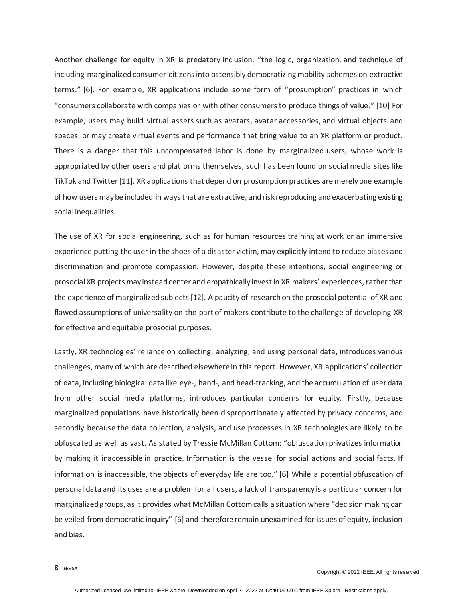Another challenge for equity in XR is predatory inclusion, "the logic, organization, and technique of including marginalized consumer-citizens into ostensibly democratizing mobility schemes on extractive terms." [\[6\].](#page-22-4) For example, XR applications include some form of "prosumption" practices in which "consumers collaborate with companies or with other consumers to produce things of value." [\[10\]](#page-22-8) For example, users may build virtual assets such as avatars, avatar accessories, and virtual objects and spaces, or may create virtual events and performance that bring value to an XR platform or product. There is a danger that this uncompensated labor is done by marginalized users, whose work is appropriated by other users and platforms themselves, such has been found on social media sites like TikTok and Twitte[r\[11\].](#page-22-9) XR applications that depend on prosumption practices are merely one example of how users may be included in ways that are extractive, and risk reproducing and exacerbating existing social inequalities.

The use of XR for social engineering, such as for human resources training at work or an immersive experience putting the user in the shoes of a disaster victim, may explicitly intend to reduce biases and discrimination and promote compassion. However, despite these intentions, social engineering or prosocial XR projects may instead center and empathically invest in XR makers' experiences, rather than the experience of marginalized subject[s\[12\].](#page-22-10) A paucity of research on the prosocial potential of XR and flawed assumptions of universality on the part of makers contribute to the challenge of developing XR for effective and equitable prosocial purposes.

Lastly, XR technologies' reliance on collecting, analyzing, and using personal data, introduces various challenges, many of which are described elsewhere in this report. However, XR applications' collection of data, including biological data like eye-, hand-, and head-tracking, and the accumulation of user data from other social media platforms, introduces particular concerns for equity. Firstly, because marginalized populations have historically been disproportionately affected by privacy concerns, and secondly because the data collection, analysis, and use processes in XR technologies are likely to be obfuscated as well as vast. As stated by Tressie McMillan Cottom: "obfuscation privatizes information by making it inaccessible in practice. Information is the vessel for social actions and social facts. If information is inaccessible, the objects of everyday life are too." [\[6\]](#page-22-4) While a potential obfuscation of personal data and its uses are a problem for all users, a lack of transparency is a particular concern for marginalized groups, as it provides what McMillan Cottom calls a situation where "decision making can be veiled from democratic inquiry" [\[6\]](#page-22-4) and therefore remain unexamined for issues of equity, inclusion and bias.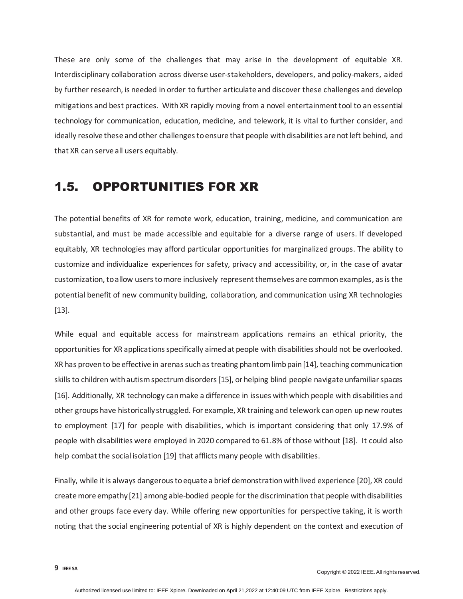These are only some of the challenges that may arise in the development of equitable XR. Interdisciplinary collaboration across diverse user-stakeholders, developers, and policy-makers, aided by further research, is needed in order to further articulate and discover these challenges and develop mitigations and best practices. With XR rapidly moving from a novel entertainment tool to an essential technology for communication, education, medicine, and telework, it is vital to further consider, and ideally resolve these and other challenges to ensure that people with disabilities are not left behind, and that XR can serve all users equitably.

## <span id="page-8-0"></span>1.5. OPPORTUNITIES FOR XR

The potential benefits of XR for remote work, education, training, medicine, and communication are substantial, and must be made accessible and equitable for a diverse range of users. If developed equitably, XR technologies may afford particular opportunities for marginalized groups. The ability to customize and individualize experiences for safety, privacy and accessibility, or, in the case of avatar customization, to allow users to more inclusively represent themselves are common examples, as is the potential benefit of new community building, collaboration, and communication using XR technologies [\[13\].](#page-22-11)

While equal and equitable access for mainstream applications remains an ethical priority, the opportunities for XR applications specifically aimed at people with disabilities should not be overlooked. XR has proven to be effective in arenas such a[s treating phantom limb pain](https://www.mobihealthnews.com/content/study-finds-ar-helps-reduce-phantom-limb-pain-people-amputations)[\[14\],](#page-22-12) [teaching communication](https://www.intechopen.com/online-first/74109)  [skills to children with autism spectrum disorders](https://www.intechopen.com/online-first/74109)[\[15\],](#page-23-0) o[r helping blind people navigate unfamiliar spaces](https://vrscout.com/news/caltech-ar-helps-blind-navigate/) [\[16\].](#page-23-1) Additionally, XR technology can make a difference in issues with which people with disabilities and other groups have historically struggled. For example, XR training and telework can open u[p new routes](https://www.peatworks.org/futureofwork/xr/)  [to employment](https://www.peatworks.org/futureofwork/xr/) [\[17\]](#page-23-2) for people with disabilities, which is important considering that only 17.9% of people with disabilities were employed in 2020 compared to 61.8% of those without [\[18\].](#page-23-3) It could also help combat the [social isolation](https://www.forbes.com/sites/solrogers/2020/02/26/how-virtual-reality-is-benefiting-seniors/?sh=ced50b51485f) [\[19\]](#page-23-4) that afflicts many people with disabilities.

Finally, while it is [always dangerous to equate a brief demonstration with lived experience](https://nfb.org/sites/default/files/images/nfb/publications/bm/bm17/bm1706/bm170602.htm) [\[20\],](#page-23-5) XR could [create more empathy](https://www.ted.com/talks/chris_milk_how_virtual_reality_can_create_the_ultimate_empathy_machine) [\[21\]](#page-23-6) among able-bodied people for the discrimination that people with disabilities and other groups face every day. While offering new opportunities for perspective taking, it is worth noting that the social engineering potential of XR is highly dependent on the context and execution of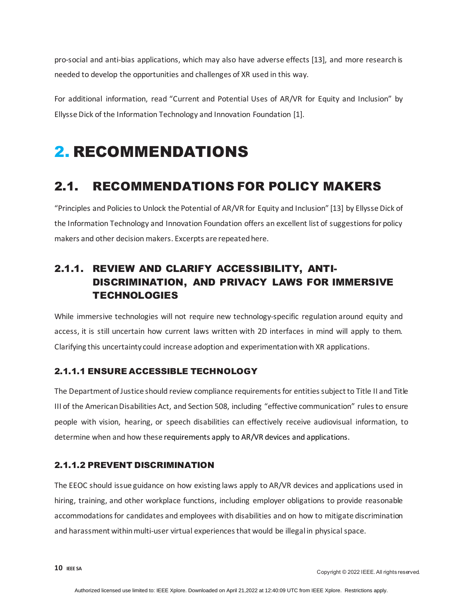pro-social and anti-bias applications, which may also have adverse effects [\[13\],](#page-22-11) and more research is needed to develop the opportunities and challenges of XR used in this way.

For additional information, read ["Current and Potential Uses of AR/VR for Equity and Inclusion" b](https://itif.org/publications/2021/06/01/current-and-potential-uses-arvr-equity-and-inclusion)y Ellysse Dick of the Information Technology and Innovation Foundation [\[1\].](#page-22-1)

# <span id="page-9-1"></span><span id="page-9-0"></span>2. RECOMMENDATIONS

# 2.1. RECOMMENDATIONS FOR POLICY MAKERS

["Principles and Policies to Unlock the Potential of AR/VR for Equity and Inclusion"](https://itif.org/publications/2021/06/01/principles-and-policies-unlock-potential-arvr-equity-and-inclusion) [\[13\]](#page-22-11) by Ellysse Dick of the Information Technology and Innovation Foundation offers an excellent list of suggestions for policy makers and other decision makers. Excerpts are repeated here.

## <span id="page-9-2"></span>2.1.1. REVIEW AND CLARIFY ACCESSIBILITY, ANTI-DISCRIMINATION, AND PRIVACY LAWS FOR IMMERSIVE **TECHNOLOGIES**

While immersive technologies will not require new technology-specific regulation around equity and access, it is still uncertain how current laws written with 2D interfaces in mind will apply to them. Clarifying this uncertainty could increase adoption and experimentation with XR applications.

#### 2.1.1.1 ENSURE ACCESSIBLE TECHNOLOGY

The Department of Justice should review compliance requirements for entities subject to Title II and Title III of the American Disabilities Act, and Section 508, including "effective communication" rules to ensure people with vision, hearing, or speech disabilities can effectively receive audiovisual information, to determine when and how these requirements apply to AR/VR devices and applications.

#### 2.1.1.2 PREVENT DISCRIMINATION

The EEOC should issue guidance on how existing laws apply to AR/VR devices and applications used in hiring, training, and other workplace functions, including employer obligations to provide reasonable accommodations for candidates and employees with disabilities and on how to mitigate discrimination and harassment within multi-user virtual experiences that would be illegal in physical space.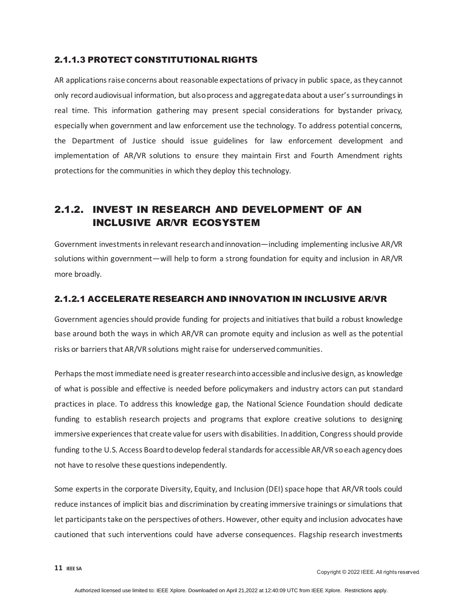#### 2.1.1.3 PROTECT CONSTITUTIONAL RIGHTS

AR applications raise concerns about reasonable expectations of privacy in public space, as they cannot only record audiovisual information, but also process and aggregate data about a user's surroundings in real time. This information gathering may present special considerations for bystander privacy, especially when government and law enforcement use the technology. To address potential concerns, the Department of Justice should issue guidelines for law enforcement development and implementation of AR/VR solutions to ensure they maintain First and Fourth Amendment rights protections for the communities in which they deploy this technology.

## <span id="page-10-0"></span>2.1.2. INVEST IN RESEARCH AND DEVELOPMENT OF AN INCLUSIVE AR/VR ECOSYSTEM

Government investments in relevant research and innovation—including implementing inclusive AR/VR solutions within government—will help to form a strong foundation for equity and inclusion in AR/VR more broadly.

#### 2.1.2.1 ACCELERATE RESEARCH AND INNOVATION IN INCLUSIVE AR/VR

Government agencies should provide funding for projects and initiatives that build a robust knowledge base around both the ways in which AR/VR can promote equity and inclusion as well as the potential risks or barriers that AR/VR solutions might raise for underserved communities.

Perhaps the most immediate need is greater research into accessible and inclusive design, as knowledge of what is possible and effective is needed before policymakers and industry actors can put standard practices in place. To address this knowledge gap, the National Science Foundation should dedicate funding to establish research projects and programs that explore creative solutions to designing immersive experiences that create value for users with disabilities. In addition, Congress should provide funding to the U.S. Access Board to develop federal standards for accessible AR/VR so each agency does not have to resolve these questions independently.

Some experts in the corporate Diversity, Equity, and Inclusion (DEI) space hope that AR/VR tools could reduce instances of implicit bias and discrimination by creating immersive trainings or simulations that let participants take on the perspectives of others. However, other equity and inclusion advocates have cautioned that such interventions could have adverse consequences. Flagship research investments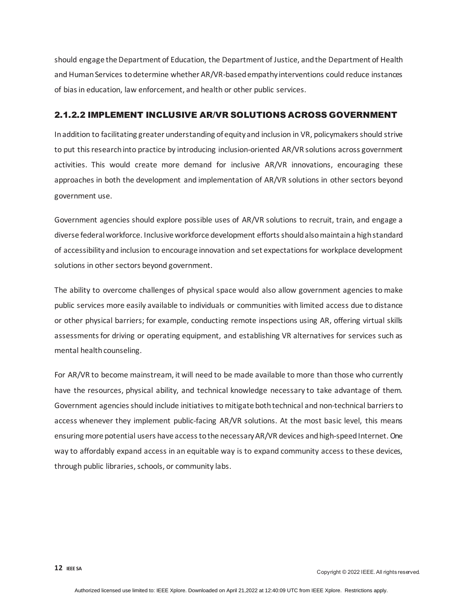should engage the Department of Education, the Department of Justice, and the Department of Health and Human Services to determine whether AR/VR-based empathy interventions could reduce instances of bias in education, law enforcement, and health or other public services.

#### 2.1.2.2 IMPLEMENT INCLUSIVE AR/VR SOLUTIONS ACROSS GOVERNMENT

In addition to facilitating greater understanding of equity and inclusion in VR, policymakers should strive to put this research into practice by introducing inclusion-oriented AR/VR solutions across government activities. This would create more demand for inclusive AR/VR innovations, encouraging these approaches in both the development and implementation of AR/VR solutions in other sectors beyond government use.

Government agencies should explore possible uses of AR/VR solutions to recruit, train, and engage a diverse federal workforce. Inclusive workforce development efforts should also maintain a high standard of accessibility and inclusion to encourage innovation and set expectations for workplace development solutions in other sectors beyond government.

The ability to overcome challenges of physical space would also allow government agencies to make public services more easily available to individuals or communities with limited access due to distance or other physical barriers; for example, conducting remote inspections using AR, offering virtual skills assessments for driving or operating equipment, and establishing VR alternatives for services such as mental health counseling.

For AR/VR to become mainstream, it will need to be made available to more than those who currently have the resources, physical ability, and technical knowledge necessary to take advantage of them. Government agencies should include initiatives to mitigate both technical and non-technical barriers to access whenever they implement public-facing AR/VR solutions. At the most basic level, this means ensuring more potential users have access to the necessary AR/VR devices and high-speed Internet. One way to affordably expand access in an equitable way is to expand community access to these devices, through public libraries, schools, or community labs.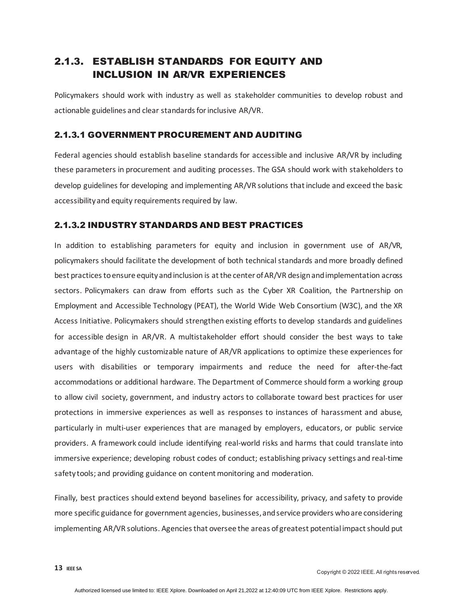### <span id="page-12-0"></span>2.1.3. ESTABLISH STANDARDS FOR EQUITY AND INCLUSION IN AR/VR EXPERIENCES

Policymakers should work with industry as well as stakeholder communities to develop robust and actionable guidelines and clear standards for inclusive AR/VR.

#### 2.1.3.1 GOVERNMENT PROCUREMENT AND AUDITING

Federal agencies should establish baseline standards for accessible and inclusive AR/VR by including these parameters in procurement and auditing processes. The GSA should work with stakeholders to develop guidelines for developing and implementing AR/VR solutions that include and exceed the basic accessibility and equity requirements required by law.

#### 2.1.3.2 INDUSTRY STANDARDS AND BEST PRACTICES

In addition to establishing parameters for equity and inclusion in government use of AR/VR, policymakers should facilitate the development of both technical standards and more broadly defined best practices to ensure equity and inclusion is at the center of AR/VR design and implementation across sectors. Policymakers can draw from efforts such as the Cyber XR Coalition, the Partnership on Employment and Accessible Technology (PEAT), the World Wide Web Consortium (W3C), and the XR Access Initiative. Policymakers should strengthen existing efforts to develop standards and guidelines for accessible design in AR/VR. A multistakeholder effort should consider the best ways to take advantage of the highly customizable nature of AR/VR applications to optimize these experiences for users with disabilities or temporary impairments and reduce the need for after-the-fact accommodations or additional hardware. The Department of Commerce should form a working group to allow civil society, government, and industry actors to collaborate toward best practices for user protections in immersive experiences as well as responses to instances of harassment and abuse, particularly in multi-user experiences that are managed by employers, educators, or public service providers. A framework could include identifying real-world risks and harms that could translate into immersive experience; developing robust codes of conduct; establishing privacy settings and real-time safety tools; and providing guidance on content monitoring and moderation.

Finally, best practices should extend beyond baselines for accessibility, privacy, and safety to provide more specific guidance for government agencies, businesses, and service providers who are considering implementing AR/VR solutions. Agencies that oversee the areas of greatest potential impact should put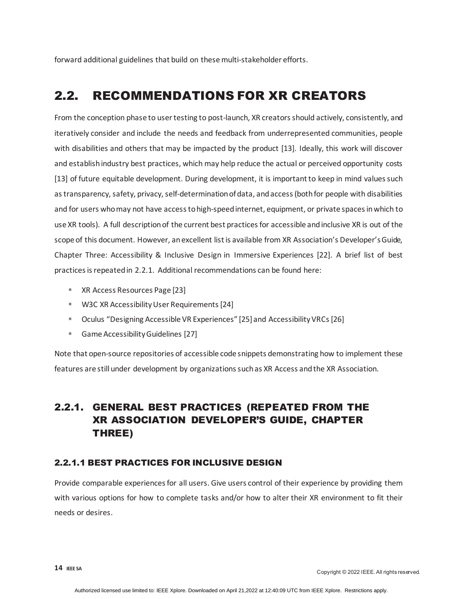forward additional guidelines that build on these multi-stakeholder efforts.

# <span id="page-13-0"></span>2.2. RECOMMENDATIONS FOR XR CREATORS

From the conception phase to user testing to post-launch, XR creators should actively, consistently, and iteratively consider and include the needs and feedback from underrepresented communities, people with disabilities and others that may be impacted by the product [\[13\].](#page-22-11) Ideally, this work will discover and establish industry best practices, which may help reduce the actual or perceived opportunity cost[s](#page-22-11) [\[13\]](#page-22-11) of future equitable development. During development, it is important to keep in mind values such as transparency, safety, privacy, self-determination of data, and access (both for people with disabilities and for users who may not have access to high-speed internet, equipment, or private spaces in which to use XR tools). A full description of the current best practices for accessible and inclusive XR is out of the scope of this document. However, an excellent list is available from XR Association'[s Developer's Guide,](https://xra.org/xr-association-releases-update-to-developers-guide-focused-on-accessibility/)  [Chapter Three: Accessibility & Inclusive Design in Immersive Experiences](https://xra.org/xr-association-releases-update-to-developers-guide-focused-on-accessibility/) [\[22\].](#page-23-7) A brief list of best practices is repeated in [2.2.1.](#page-13-1) Additional recommendations can be found here:

- **[XR Access Resources Page](https://xraccess.org/resources/) [\[23\]](#page-23-8)**
- [W3C XR Accessibility User Requirements](https://www.w3.org/TR/xaur/) [\[24\]](#page-23-9)
- Oculus ["Designing Accessible VR Experiences"](https://www.youtube.com/watch?v=yFVPMYDO_OE&ab_channel=Oculus) [\[25\]](#page-23-10) and [Accessibility VRCs](https://developer.oculus.com/blog/introducing-the-accessibility-vrcs/)[\[26\]](#page-23-11)
- [Game Accessibility Guidelines](http://gameaccessibilityguidelines.com/) [\[27\]](#page-23-12)

Note that open-source repositories of accessible code snippets demonstrating how to implement these features are still under development by organizations such as XR Access and the XR Association.

### <span id="page-13-1"></span>2.2.1. GENERAL BEST PRACTICES (REPEATED FROM THE XR ASSOCIATION DEVELOPER'S GUIDE, CHAPTER THREE)

#### 2.2.1.1 BEST PRACTICES FOR INCLUSIVE DESIGN

Provide comparable experiences for all users. Give users control of their experience by providing them with various options for how to complete tasks and/or how to alter their XR environment to fit their needs or desires.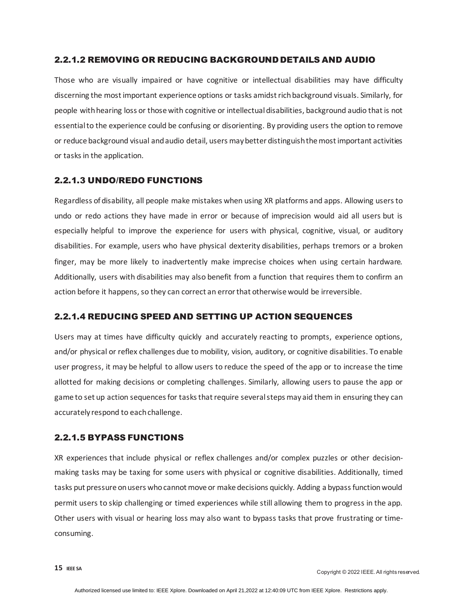#### 2.2.1.2 REMOVING OR REDUCING BACKGROUND DETAILS AND AUDIO

Those who are visually impaired or have cognitive or intellectual disabilities may have difficulty discerning the most important experience options or tasks amidst rich background visuals. Similarly, for people with hearing loss or those with cognitive or intellectual disabilities, background audio that is not essential to the experience could be confusing or disorienting. By providing users the option to remove or reduce background visual and audio detail, users may better distinguish the most important activities or tasks in the application.

#### 2.2.1.3 UNDO/REDO FUNCTIONS

Regardless of disability, all people make mistakes when using XR platforms and apps. Allowing users to undo or redo actions they have made in error or because of imprecision would aid all users but is especially helpful to improve the experience for users with physical, cognitive, visual, or auditory disabilities. For example, users who have physical dexterity disabilities, perhaps tremors or a broken finger, may be more likely to inadvertently make imprecise choices when using certain hardware. Additionally, users with disabilities may also benefit from a function that requires them to confirm an action before it happens, so they can correct an error that otherwise would be irreversible.

#### 2.2.1.4 REDUCING SPEED AND SETTING UP ACTION SEQUENCES

Users may at times have difficulty quickly and accurately reacting to prompts, experience options, and/or physical or reflex challenges due to mobility, vision, auditory, or cognitive disabilities. To enable user progress, it may be helpful to allow users to reduce the speed of the app or to increase the time allotted for making decisions or completing challenges. Similarly, allowing users to pause the app or game to set up action sequences for tasks that require several steps may aid them in ensuring they can accurately respond to each challenge.

#### 2.2.1.5 BYPASS FUNCTIONS

XR experiences that include physical or reflex challenges and/or complex puzzles or other decisionmaking tasks may be taxing for some users with physical or cognitive disabilities. Additionally, timed tasks put pressure on users who cannot move or make decisions quickly. Adding a bypass function would permit users to skip challenging or timed experiences while still allowing them to progress in the app. Other users with visual or hearing loss may also want to bypass tasks that prove frustrating or timeconsuming.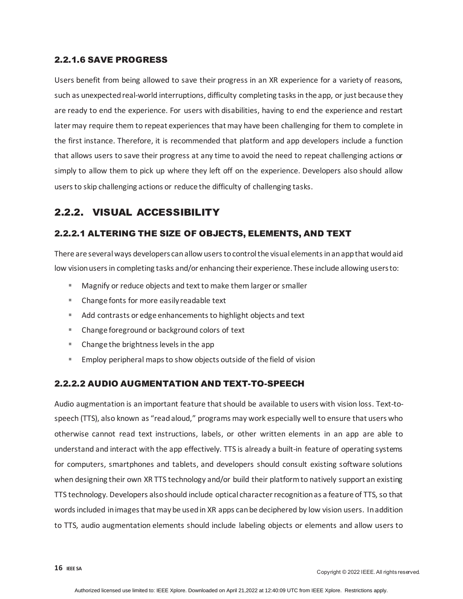#### 2.2.1.6 SAVE PROGRESS

Users benefit from being allowed to save their progress in an XR experience for a variety of reasons, such as unexpected real-world interruptions, difficulty completing tasks in the app, or just because they are ready to end the experience. For users with disabilities, having to end the experience and restart later may require them to repeat experiences that may have been challenging for them to complete in the first instance. Therefore, it is recommended that platform and app developers include a function that allows users to save their progress at any time to avoid the need to repeat challenging actions or simply to allow them to pick up where they left off on the experience. Developers also should allow users to skip challenging actions or reduce the difficulty of challenging tasks.

### <span id="page-15-0"></span>2.2.2. VISUAL ACCESSIBILITY

#### 2.2.2.1 ALTERING THE SIZE OF OBJECTS, ELEMENTS, AND TEXT

There are severalways developers can allow users to control the visual elements in an app that would aid low vision users in completing tasks and/or enhancing their experience. These include allowing users to:

- Magnify or reduce objects and text to make them larger or smaller
- Change fonts for more easily readable text
- Add contrasts or edge enhancements to highlight objects and text
- Change foreground or background colors of text
- Change the brightness levels in the app
- Employ peripheral maps to show objects outside of the field of vision

#### 2.2.2.2 AUDIO AUGMENTATION AND TEXT-TO-SPEECH

Audio augmentation is an important feature that should be available to users with vision loss. Text-tospeech (TTS), also known as "read aloud," programs may work especially well to ensure that users who otherwise cannot read text instructions, labels, or other written elements in an app are able to understand and interact with the app effectively. TTS is already a built-in feature of operating systems for computers, smartphones and tablets, and developers should consult existing software solutions when designing their own XR TTS technology and/or build their platform to natively support an existing TTS technology. Developers also should include optical character recognition as a feature of TTS, so that words included in images that may be used in XR apps can be deciphered by low vision users. In addition to TTS, audio augmentation elements should include labeling objects or elements and allow users to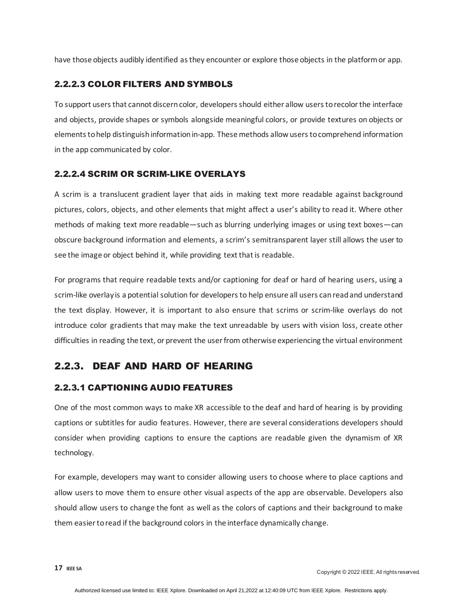have those objects audibly identified as they encounter or explore those objects in the platform or app.

#### 2.2.2.3 COLOR FILTERS AND SYMBOLS

To support users that cannot discern color, developers should either allow users to recolor the interface and objects, provide shapes or symbols alongside meaningful colors, or provide textures on objects or elements to help distinguish information in-app. These methods allow users to comprehend information in the app communicated by color.

#### 2.2.2.4 SCRIM OR SCRIM-LIKE OVERLAYS

A scrim is a translucent gradient layer that aids in making text more readable against background pictures, colors, objects, and other elements that might affect a user's ability to read it. Where other methods of making text more readable—such as blurring underlying images or using text boxes—can obscure background information and elements, a scrim's semitransparent layer still allows the user to see the image or object behind it, while providing text that is readable.

For programs that require readable texts and/or captioning for deaf or hard of hearing users, using a scrim-like overlay is a potential solution for developers to help ensure all users can read and understand the text display. However, it is important to also ensure that scrims or scrim-like overlays do not introduce color gradients that may make the text unreadable by users with vision loss, create other difficulties in reading the text, or prevent the user from otherwise experiencing the virtual environment

### <span id="page-16-0"></span>2.2.3. DEAF AND HARD OF HEARING

#### 2.2.3.1 CAPTIONING AUDIO FEATURES

One of the most common ways to make XR accessible to the deaf and hard of hearing is by providing captions or subtitles for audio features. However, there are several considerations developers should consider when providing captions to ensure the captions are readable given the dynamism of XR technology.

For example, developers may want to consider allowing users to choose where to place captions and allow users to move them to ensure other visual aspects of the app are observable. Developers also should allow users to change the font as well as the colors of captions and their background to make them easier to read if the background colors in the interface dynamically change.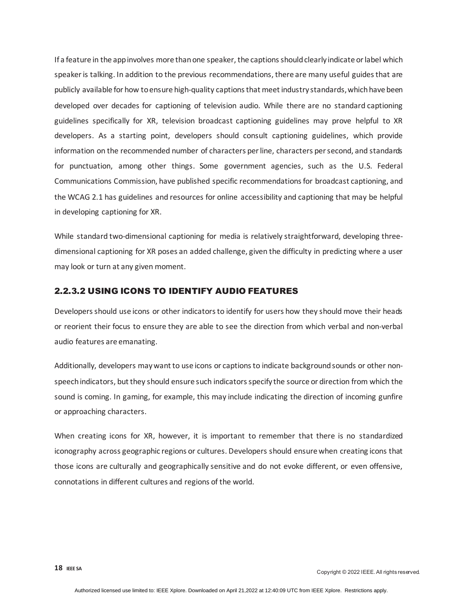If a feature in the app involves more than one speaker, the captions should clearly indicate or label which speaker is talking. In addition to the previous recommendations, there are many useful guides that are publicly available for how to ensure high-quality captions that meetindustry standards, which have been developed over decades for captioning of television audio. While there are no standard captioning guidelines specifically for XR, television broadcast captioning guidelines may prove helpful to XR developers. As a starting point, developers should consult captioning guidelines, which provide information on the recommended number of characters per line, characters per second, and standards for punctuation, among other things. Some government agencies, such as the U.S. Federal Communications Commission, have published specific recommendations for broadcast captioning, and the WCAG 2.1 has guidelines and resources for online accessibility and captioning that may be helpful in developing captioning for XR.

While standard two-dimensional captioning for media is relatively straightforward, developing threedimensional captioning for XR poses an added challenge, given the difficulty in predicting where a user may look or turn at any given moment.

#### 2.2.3.2 USING ICONS TO IDENTIFY AUDIO FEATURES

Developers should use icons or other indicators to identify for users how they should move their heads or reorient their focus to ensure they are able to see the direction from which verbal and non-verbal audio features are emanating.

Additionally, developers may want to use icons or captions to indicate background sounds or other nonspeech indicators, but they should ensure such indicators specify the source or direction from which the sound is coming. In gaming, for example, this may include indicating the direction of incoming gunfire or approaching characters.

When creating icons for XR, however, it is important to remember that there is no standardized iconography across geographic regions or cultures. Developers should ensure when creating icons that those icons are culturally and geographically sensitive and do not evoke different, or even offensive, connotations in different cultures and regions of the world.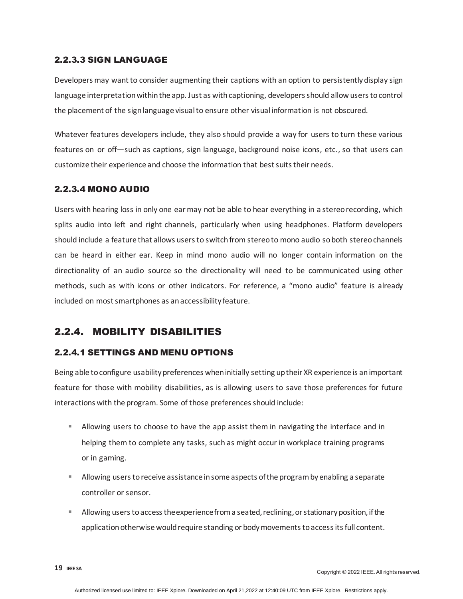#### 2.2.3.3 SIGN LANGUAGE

Developers may want to consider augmenting their captions with an option to persistently display sign language interpretation within the app. Just as with captioning, developers should allow users to control the placement of the sign language visual to ensure other visual information is not obscured.

Whatever features developers include, they also should provide a way for users to turn these various features on or off—such as captions, sign language, background noise icons, etc., so that users can customize their experience and choose the information that best suits their needs.

#### 2.2.3.4 MONO AUDIO

Users with hearing loss in only one ear may not be able to hear everything in a stereo recording, which splits audio into left and right channels, particularly when using headphones. Platform developers should include a feature that allows users to switch from stereo to mono audio so both stereo channels can be heard in either ear. Keep in mind mono audio will no longer contain information on the directionality of an audio source so the directionality will need to be communicated using other methods, such as with icons or other indicators. For reference, a "mono audio" feature is already included on most smartphones as an accessibility feature.

### <span id="page-18-0"></span>2.2.4. MOBILITY DISABILITIES

#### 2.2.4.1 SETTINGS AND MENU OPTIONS

Being able to configure usability preferences when initially setting up their XR experience is an important feature for those with mobility disabilities, as is allowing users to save those preferences for future interactions with the program. Some of those preferences should include:

- Allowing users to choose to have the app assist them in navigating the interface and in helping them to complete any tasks, such as might occur in workplace training programs or in gaming.
- Allowing users to receive assistance in some aspects of the program by enabling a separate controller or sensor.
- Allowing users to access the experience from a seated, reclining, or stationary position, if the application otherwise would require standing or body movements to access its full content.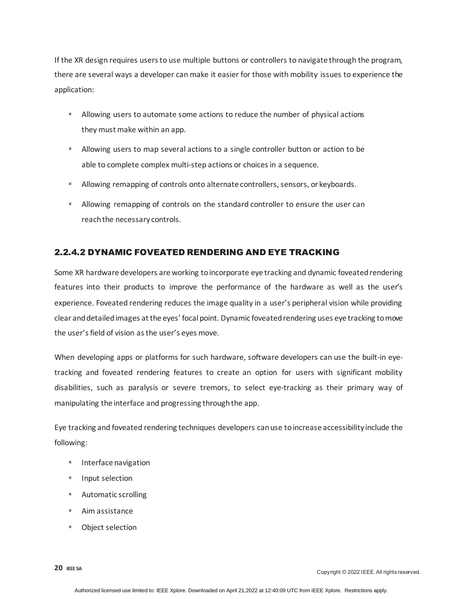If the XR design requires users to use multiple buttons or controllers to navigate through the program, there are several ways a developer can make it easier for those with mobility issues to experience the application:

- **Allowing users to automate some actions to reduce the number of physical actions** they must make within an app.
- Allowing users to map several actions to a single controller button or action to be able to complete complex multi-step actions or choices in a sequence.
- **Allowing remapping of controls onto alternate controllers, sensors, or keyboards.**
- Allowing remapping of controls on the standard controller to ensure the user can reach the necessary controls.

#### 2.2.4.2 DYNAMIC FOVEATED RENDERING AND EYE TRACKING

Some XR hardware developers are working to incorporate eye tracking and dynamic foveated rendering features into their products to improve the performance of the hardware as well as the user's experience. Foveated rendering reduces the image quality in a user's peripheral vision while providing clear and detailed images at the eyes' focal point. Dynamic foveated rendering uses eye tracking to move the user's field of vision as the user's eyes move.

When developing apps or platforms for such hardware, software developers can use the built-in eyetracking and foveated rendering features to create an option for users with significant mobility disabilities, such as paralysis or severe tremors, to select eye-tracking as their primary way of manipulating the interface and progressing through the app.

Eye tracking and foveated rendering techniques developers can use to increase accessibility include the following:

- **Interface navigation**
- **Input selection**
- Automatic scrolling
- Aim assistance
- Object selection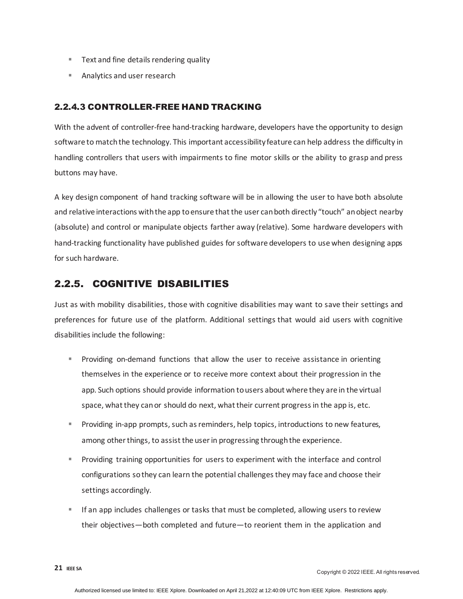- **Text and fine details rendering quality**
- Analytics and user research

#### 2.2.4.3 CONTROLLER-FREE HAND TRACKING

With the advent of controller-free hand-tracking hardware, developers have the opportunity to design software to match the technology. This important accessibility feature can help address the difficulty in handling controllers that users with impairments to fine motor skills or the ability to grasp and press buttons may have.

A key design component of hand tracking software will be in allowing the user to have both absolute and relative interactions with the app to ensure that the user can both directly "touch" an object nearby (absolute) and control or manipulate objects farther away (relative). Some hardware developers with hand-tracking functionality have published guides for software developers to use when designing apps for such hardware.

#### <span id="page-20-0"></span>2.2.5. COGNITIVE DISABILITIES

Just as with mobility disabilities, those with cognitive disabilities may want to save their settings and preferences for future use of the platform. Additional settings that would aid users with cognitive disabilities include the following:

- **Providing on-demand functions that allow the user to receive assistance in orienting** themselves in the experience or to receive more context about their progression in the app. Such options should provide information to users about where they are in the virtual space, what they can or should do next, what their current progress in the app is, etc.
- **Providing in-app prompts, such as reminders, help topics, introductions to new features,** among other things, to assist the user in progressing through the experience.
- Providing training opportunities for users to experiment with the interface and control configurations so they can learn the potential challenges they may face and choose their settings accordingly.
- If an app includes challenges or tasks that must be completed, allowing users to review their objectives—both completed and future—to reorient them in the application and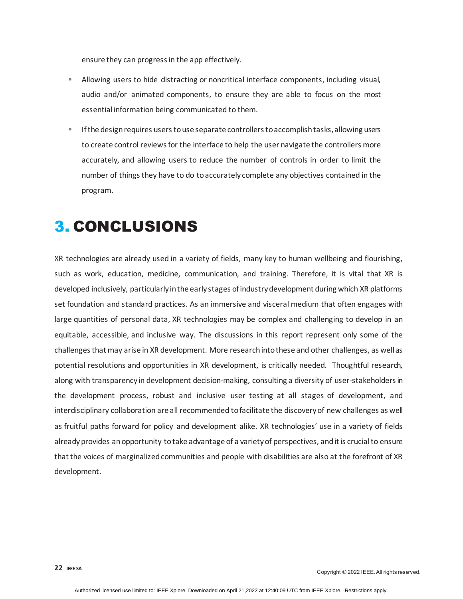ensure they can progress in the app effectively.

- Allowing users to hide distracting or noncritical interface components, including visual, audio and/or animated components, to ensure they are able to focus on the most essential information being communicated to them.
- If the design requires users to use separate controllers to accomplish tasks, allowing users to create control reviews for the interface to help the user navigate the controllers more accurately, and allowing users to reduce the number of controls in order to limit the number of things they have to do to accurately complete any objectives contained in the program.

# <span id="page-21-0"></span>3. CONCLUSIONS

XR technologies are already used in a variety of fields, many key to human wellbeing and flourishing, such as work, education, medicine, communication, and training. Therefore, it is vital that XR is developed inclusively, particularly in the early stages of industry development during which XR platforms set foundation and standard practices. As an immersive and visceral medium that often engages with large quantities of personal data, XR technologies may be complex and challenging to develop in an equitable, accessible, and inclusive way. The discussions in this report represent only some of the challenges that may arise in XR development. More research into these and other challenges, as well as potential resolutions and opportunities in XR development, is critically needed. Thoughtful research, along with transparency in development decision-making, consulting a diversity of user-stakeholders in the development process, robust and inclusive user testing at all stages of development, and interdisciplinary collaboration are all recommended to facilitate the discovery of new challenges as well as fruitful paths forward for policy and development alike. XR technologies' use in a variety of fields already provides an opportunity to take advantage of a variety of perspectives, and it is crucial to ensure that the voices of marginalized communities and people with disabilities are also at the forefront of XR development.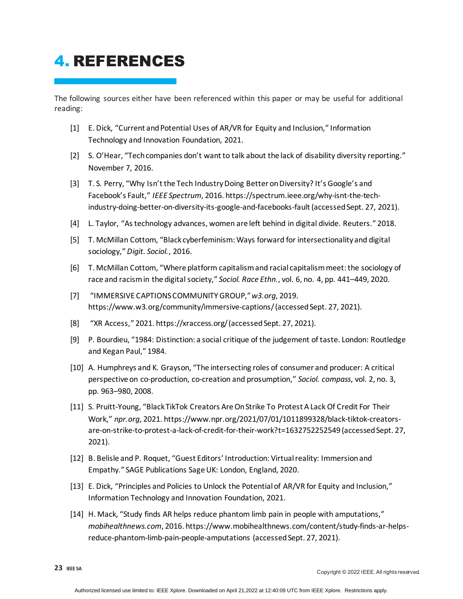# <span id="page-22-0"></span>4. REFERENCES

The following sources either have been referenced within this paper or may be useful for additional reading:

- <span id="page-22-1"></span>[1] E. Dick, "Current and Potential Uses of AR/VR for Equity and Inclusion," Information Technology and Innovation Foundation, 2021.
- [2] S. O'Hear, "Tech companies don't want to talk about the lack of disability diversity reporting." November 7, 2016.
- [3] T. S. Perry, "Why Isn't the Tech Industry Doing Better on Diversity? It's Google's and Facebook's Fault," *IEEE Spectrum*, 2016[. https://spectrum.ieee.org/why-isnt-the-tech](https://spectrum.ieee.org/why-isnt-the-tech-industry-doing-better-on-diversity-its-google-and-facebooks-fault)[industry-doing-better-on-diversity-its-google-and-facebooks-fault](https://spectrum.ieee.org/why-isnt-the-tech-industry-doing-better-on-diversity-its-google-and-facebooks-fault)(accessed Sept. 27, 2021).
- <span id="page-22-2"></span>[4] L. Taylor, "As technology advances, women are left behind in digital divide. Reuters." 2018.
- <span id="page-22-3"></span>[5] T. McMillan Cottom, "Black cyberfeminism: Ways forward for intersectionality and digital sociology," *Digit. Sociol.*, 2016.
- <span id="page-22-4"></span>[6] T. McMillan Cottom, "Where platform capitalism and racial capitalism meet: the sociology of race and racism in the digital society," *Sociol. Race Ethn.*, vol. 6, no. 4, pp. 441–449, 2020.
- <span id="page-22-5"></span>[7] "IMMERSIVE CAPTIONS COMMUNITY GROUP," *w3.org*, 2019. <https://www.w3.org/community/immersive-captions/>(accessed Sept. 27, 2021).
- <span id="page-22-6"></span>[8] "XR Access," 2021[. https://xraccess.org/](https://xraccess.org/)(accessed Sept. 27, 2021).
- <span id="page-22-7"></span>[9] P. Bourdieu, "1984: Distinction: a social critique of the judgement of taste. London: Routledge and Kegan Paul," 1984.
- <span id="page-22-8"></span>[10] A. Humphreys and K. Grayson, "The intersecting roles of consumer and producer: A critical perspective on co-production, co-creation and prosumption," *Sociol. compass*, vol. 2, no. 3, pp. 963–980, 2008.
- <span id="page-22-9"></span>[11] S. Pruitt-Young, "Black TikTok Creators Are On Strike To Protest A Lack Of Credit For Their Work," *npr.org*, 2021. [https://www.npr.org/2021/07/01/1011899328/black-tiktok-creators](https://www.npr.org/2021/07/01/1011899328/black-tiktok-creators-are-on-strike-to-protest-a-lack-of-credit-for-their-work?t=1632752252549)[are-on-strike-to-protest-a-lack-of-credit-for-their-work?t=1632752252549](https://www.npr.org/2021/07/01/1011899328/black-tiktok-creators-are-on-strike-to-protest-a-lack-of-credit-for-their-work?t=1632752252549) (accessed Sept. 27, 2021).
- <span id="page-22-10"></span>[12] B. Belisle and P. Roquet, "Guest Editors' Introduction: Virtual reality: Immersion and Empathy." SAGE Publications Sage UK: London, England, 2020.
- <span id="page-22-11"></span>[13] E. Dick, "Principles and Policies to Unlock the Potential of AR/VR for Equity and Inclusion," Information Technology and Innovation Foundation, 2021.
- <span id="page-22-12"></span>[14] H. Mack, "Study finds AR helps reduce phantom limb pain in people with amputations," *mobihealthnews.com*, 2016[. https://www.mobihealthnews.com/content/study-finds-ar-helps](https://www.mobihealthnews.com/content/study-finds-ar-helps-reduce-phantom-limb-pain-people-amputations)[reduce-phantom-limb-pain-people-amputations](https://www.mobihealthnews.com/content/study-finds-ar-helps-reduce-phantom-limb-pain-people-amputations) (accessed Sept. 27, 2021).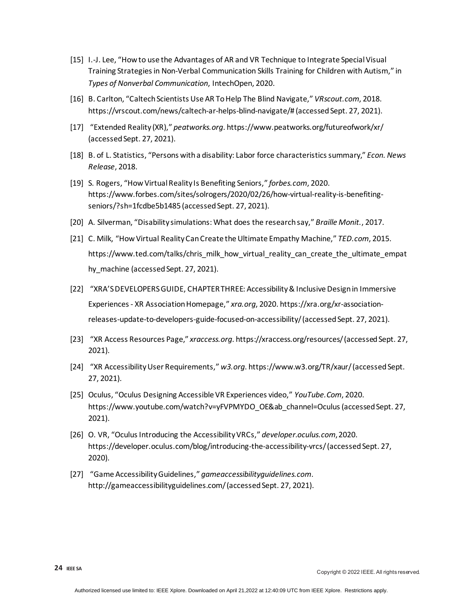- <span id="page-23-0"></span>[15] I.-J. Lee, "How to use the Advantages of AR and VR Technique to Integrate Special Visual Training Strategies in Non-Verbal Communication Skills Training for Children with Autism," in *Types of Nonverbal Communication*, IntechOpen, 2020.
- <span id="page-23-1"></span>[16] B. Carlton, "Caltech Scientists Use AR To Help The Blind Navigate," *VRscout.com*, 2018. [https://vrscout.com/news/caltech-ar-helps-blind-navigate/#](https://vrscout.com/news/caltech-ar-helps-blind-navigate/) (accessed Sept. 27, 2021).
- <span id="page-23-2"></span>[17] "Extended Reality (XR)," *peatworks.org*[. https://www.peatworks.org/futureofwork/xr/](https://www.peatworks.org/futureofwork/xr/) (accessed Sept. 27, 2021).
- <span id="page-23-3"></span>[18] B. of L. Statistics, "Persons with a disability: Labor force characteristics summary," *Econ. News Release*, 2018.
- <span id="page-23-4"></span>[19] S. Rogers, "How Virtual Reality Is Benefiting Seniors," *forbes.com*, 2020. [https://www.forbes.com/sites/solrogers/2020/02/26/how-virtual-reality-is-benefiting](https://www.forbes.com/sites/solrogers/2020/02/26/how-virtual-reality-is-benefiting-seniors/?sh=1fcdbe5b1485)[seniors/?sh=1fcdbe5b1485](https://www.forbes.com/sites/solrogers/2020/02/26/how-virtual-reality-is-benefiting-seniors/?sh=1fcdbe5b1485) (accessed Sept. 27, 2021).
- <span id="page-23-5"></span>[20] A. Silverman, "Disability simulations: What does the research say," *Braille Monit.*, 2017.
- <span id="page-23-6"></span>[21] C. Milk, "How Virtual Reality Can Create the Ultimate Empathy Machine," *TED.com*, 2015. [https://www.ted.com/talks/chris\\_milk\\_how\\_virtual\\_reality\\_can\\_create\\_the\\_ultimate\\_empat](https://www.ted.com/talks/chris_milk_how_virtual_reality_can_create_the_ultimate_empathy_machine) [hy\\_machine](https://www.ted.com/talks/chris_milk_how_virtual_reality_can_create_the_ultimate_empathy_machine) (accessed Sept. 27, 2021).
- <span id="page-23-7"></span>[22] "XRA'S DEVELOPERS GUIDE, CHAPTER THREE: Accessibility & Inclusive Design in Immersive Experiences - XR Association Homepage," *xra.org*, 2020[. https://xra.org/xr-association](https://xra.org/xr-association-releases-update-to-developers-guide-focused-on-accessibility/)[releases-update-to-developers-guide-focused-on-accessibility/](https://xra.org/xr-association-releases-update-to-developers-guide-focused-on-accessibility/)(accessed Sept. 27, 2021).
- <span id="page-23-8"></span>[23] "XR Access Resources Page," *xraccess.org*[. https://xraccess.org/r](https://xraccess.org/)esources/ (accessed Sept. 27, 2021).
- <span id="page-23-9"></span>[24] "XR Accessibility User Requirements," *w3.org*[. https://www.w3.org/TR/xaur/](https://www.w3.org/TR/xaur/)(accessed Sept. 27, 2021).
- <span id="page-23-10"></span>[25] Oculus, "Oculus Designing Accessible VR Experiences video," *YouTube.Com*, 2020. [https://www.youtube.com/watch?v=yFVPMYDO\\_OE&ab\\_channel=Oculus](https://www.youtube.com/watch?v=yFVPMYDO_OE&ab_channel=Oculus) (accessed Sept. 27, 2021).
- <span id="page-23-11"></span>[26] O. VR, "Oculus Introducing the Accessibility VRCs," *developer.oculus.com*, 2020. <https://developer.oculus.com/blog/introducing-the-accessibility-vrcs/>(accessed Sept. 27, 2020).
- <span id="page-23-12"></span>[27] "Game Accessibility Guidelines," *gameaccessibilityguidelines.com*. <http://gameaccessibilityguidelines.com/>(accessed Sept. 27, 2021).